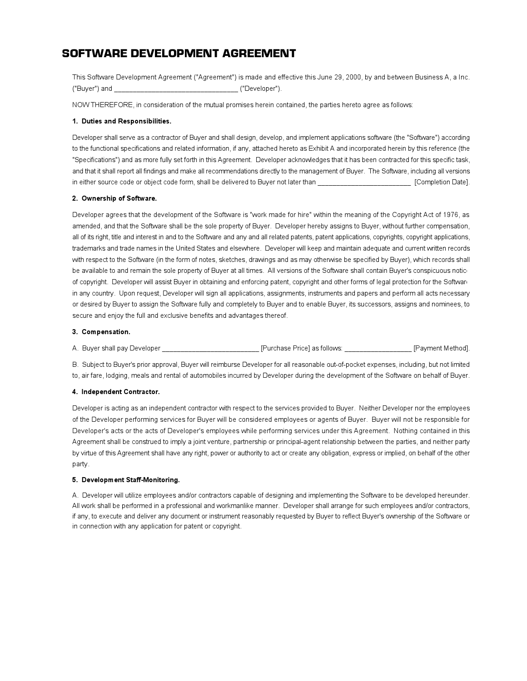# SOFTWARE DEVELOPMENT AGREEMENT

This Software Development Agreement ("Agreement") is made and effective this June 29, 2000, by and between Business A, a Inc. ("Buyer") and \_\_\_\_\_\_\_\_\_\_\_\_\_\_\_\_\_\_\_\_\_\_\_\_\_\_\_\_\_\_\_\_\_ ("Developer").

NOW THEREFORE, in consideration of the mutual promises herein contained, the parties hereto agree as follows:

## **1. Duties and Responsibilities.**

Developer shall serve as a contractor of Buyer and shall design, develop, and implement applications software (the "Software") according to the functional specifications and related information, if any, attached hereto as Exhibit A and incorporated herein by this reference (the "Specifications") and as more fully set forth in this Agreement. Developer acknowledges that it has been contracted for this specific task, and that it shall report all findings and make all recommendations directly to the management of Buyer. The Software, including all versions in either source code or object code form, shall be delivered to Buyer not later than **Example 1966** [Completion Date].

# **2. Ownership of Software.**

Developer agrees that the development of the Software is "work made for hire" within the meaning of the Copyright Act of 1976, as amended, and that the Software shall be the sole property of Buyer. Developer hereby assigns to Buyer, without further compensation, all of its right, title and interest in and to the Software and any and all related patents, patent applications, copyrights, copyright applications, trademarks and trade names in the United States and elsewhere. Developer will keep and maintain adequate and current written records with respect to the Software (in the form of notes, sketches, drawings and as may otherwise be specified by Buyer), which records shall be available to and remain the sole property of Buyer at all times. All versions of the Software shall contain Buyer's conspicuous notice of copyright. Developer will assist Buyer in obtaining and enforcing patent, copyright and other forms of legal protection for the Software in any country. Upon request, Developer will sign all applications, assignments, instruments and papers and perform all acts necessary or desired by Buyer to assign the Software fully and completely to Buyer and to enable Buyer, its successors, assigns and nominees, to secure and enjoy the full and exclusive benefits and advantages thereof.

# **3. Compensation.**

A. Buyer shall pay Developer \_\_\_\_\_\_\_\_\_\_\_\_\_\_\_\_\_\_\_\_\_\_\_\_\_\_ [Purchase Price] as follows: \_\_\_\_\_\_\_\_\_\_\_\_\_\_\_\_\_\_ [Payment Method].

B. Subject to Buyer's prior approval, Buyer will reimburse Developer for all reasonable out-of-pocket expenses, including, but not limited to, air fare, lodging, meals and rental of automobiles incurred by Developer during the development of the Software on behalf of Buyer.

## **4. Independent Contractor.**

Developer is acting as an independent contractor with respect to the services provided to Buyer. Neither Developer nor the employees of the Developer performing services for Buyer will be considered employees or agents of Buyer. Buyer will not be responsible for Developer's acts or the acts of Developer's employees while performing services under this Agreement. Nothing contained in this Agreement shall be construed to imply a joint venture, partnership or principal-agent relationship between the parties, and neither party by virtue of this Agreement shall have any right, power or authority to act or create any obligation, express or implied, on behalf of the other party.

## **5. Development Staff-Monitoring.**

A. Developer will utilize employees and/or contractors capable of designing and implementing the Software to be developed hereunder. All work shall be performed in a professional and workmanlike manner. Developer shall arrange for such employees and/or contractors, if any, to execute and deliver any document or instrument reasonably requested by Buyer to reflect Buyer's ownership of the Software or in connection with any application for patent or copyright.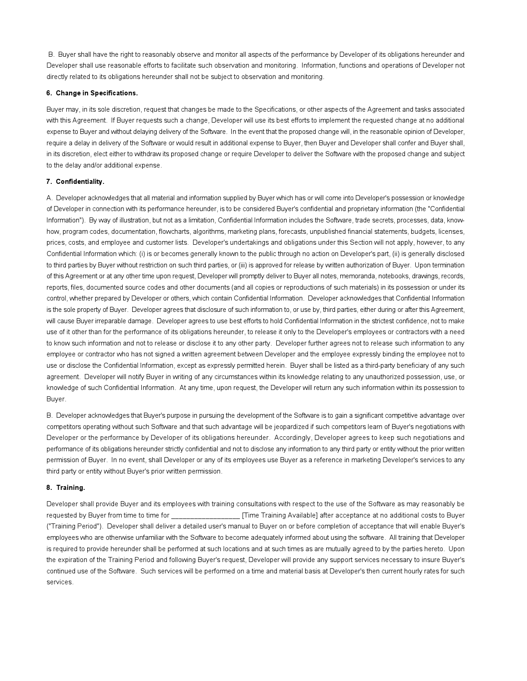B. Buyer shall have the right to reasonably observe and monitor all aspects of the performance by Developer of its obligations hereunder and Developer shall use reasonable efforts to facilitate such observation and monitoring. Information, functions and operations of Developer not directly related to its obligations hereunder shall not be subject to observation and monitoring.

#### **6. Change in Specifications.**

Buyer may, in its sole discretion, request that changes be made to the Specifications, or other aspects of the Agreement and tasks associated with this Agreement. If Buyer requests such a change, Developer will use its best efforts to implement the requested change at no additional expense to Buyer and without delaying delivery of the Software. In the event that the proposed change will, in the reasonable opinion of Developer, require a delay in delivery of the Software or would result in additional expense to Buyer, then Buyer and Developer shall confer and Buyer shall, in its discretion, elect either to withdraw its proposed change or require Developer to deliver the Software with the proposed change and subject to the delay and/or additional expense.

#### **7. Confidentiality.**

A. Developer acknowledges that all material and information supplied by Buyer which has or will come into Developer's possession or knowledge of Developer in connection with its performance hereunder, is to be considered Buyer's confidential and proprietary information (the "Confidential Information"). By way of illustration, but not as a limitation, Confidential Information includes the Software, trade secrets, processes, data, knowhow, program codes, documentation, flowcharts, algorithms, marketing plans, forecasts, unpublished financial statements, budgets, licenses, prices, costs, and employee and customer lists. Developer's undertakings and obligations under this Section will not apply, however, to any Confidential Information which: (i) is or becomes generally known to the public through no action on Developer's part, (ii) is generally disclosed to third parties by Buyer without restriction on such third parties, or (iii) is approved for release by written authorization of Buyer. Upon termination of this Agreement or at any other time upon request, Developer will promptly deliver to Buyer all notes, memoranda, notebooks, drawings, records, reports, files, documented source codes and other documents (and all copies or reproductions of such materials) in its possession or under its control, whether prepared by Developer or others, which contain Confidential Information. Developer acknowledges that Confidential Information is the sole property of Buyer. Developer agrees that disclosure of such information to, or use by, third parties, either during or after this Agreement, will cause Buyer irreparable damage. Developer agrees to use best efforts to hold Confidential Information in the strictest confidence, not to make use of it other than for the performance of its obligations hereunder, to release it only to the Developer's employees or contractors with a need to know such information and not to release or disclose it to any other party. Developer further agrees not to release such information to any employee or contractor who has not signed a written agreement between Developer and the employee expressly binding the employee not to use or disclose the Confidential Information, except as expressly permitted herein. Buyer shall be listed as a third-party beneficiary of any such agreement. Developer will notify Buyer in writing of any circumstances within its knowledge relating to any unauthorized possession, use, or knowledge of such Confidential Information. At any time, upon request, the Developer will return any such information within its possession to Buyer.

B. Developer acknowledges that Buyer's purpose in pursuing the development of the Software is to gain a significant competitive advantage over competitors operating without such Software and that such advantage will be jeopardized if such competitors learn of Buyer's negotiations with Developer or the performance by Developer of its obligations hereunder. Accordingly, Developer agrees to keep such negotiations and performance of its obligations hereunder strictly confidential and not to disclose any information to any third party or entity without the prior written permission of Buyer. In no event, shall Developer or any of its employees use Buyer as a reference in marketing Developer's services to any third party or entity without Buyer's prior written permission.

## **8. Training.**

Developer shall provide Buyer and its employees with training consultations with respect to the use of the Software as may reasonably be requested by Buyer from time to time for \_\_\_\_\_\_\_\_\_\_\_\_\_\_\_\_\_\_ [Time Training Available] after acceptance at no additional costs to Buyer ("Training Period"). Developer shall deliver a detailed user's manual to Buyer on or before completion of acceptance that will enable Buyer's employees who are otherwise unfamiliar with the Software to become adequately informed about using the software. All training that Developer is required to provide hereunder shall be performed at such locations and at such times as are mutually agreed to by the parties hereto. Upon the expiration of the Training Period and following Buyer's request, Developer will provide any support services necessary to insure Buyer's continued use of the Software. Such services will be performed on a time and material basis at Developer's then current hourly rates for such services.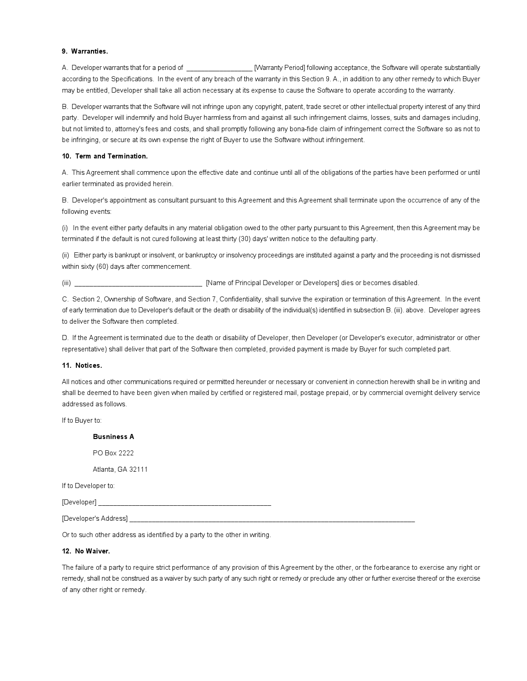#### **9. Warranties.**

A. Developer warrants that for a period of **Example 20** [Warranty Period] following acceptance, the Software will operate substantially according to the Specifications. In the event of any breach of the warranty in this Section 9. A., in addition to any other remedy to which Buyer may be entitled, Developer shall take all action necessary at its expense to cause the Software to operate according to the warranty.

B. Developer warrants that the Software will not infringe upon any copyright, patent, trade secret or other intellectual property interest of any third party. Developer will indemnify and hold Buyer harmless from and against all such infringement claims, losses, suits and damages including, but not limited to, attorney's fees and costs, and shall promptly following any bona-fide claim of infringement correct the Software so as not to be infringing, or secure at its own expense the right of Buyer to use the Software without infringement.

## **10. Term and Termination.**

A. This Agreement shall commence upon the effective date and continue until all of the obligations of the parties have been performed or until earlier terminated as provided herein.

B. Developer's appointment as consultant pursuant to this Agreement and this Agreement shall terminate upon the occurrence of any of the following events:

(i) In the event either party defaults in any material obligation owed to the other party pursuant to this Agreement, then this Agreement may be terminated if the default is not cured following at least thirty (30) days' written notice to the defaulting party.

(ii) Either party is bankrupt or insolvent, or bankruptcy or insolvency proceedings are instituted against a party and the proceeding is not dismissed within sixty (60) days after commencement.

(iii) \_\_\_\_\_\_\_\_\_\_\_\_\_\_\_\_\_\_\_\_\_\_\_\_\_\_\_\_\_\_\_\_\_\_ [Name of Principal Developer or Developers] dies or becomes disabled.

C. Section 2, Ownership of Software, and Section 7, Confidentiality, shall survive the expiration or termination of this Agreement. In the event of early termination due to Developer's default or the death or disability of the individual(s) identified in subsection B. (iii). above. Developer agrees to deliver the Software then completed.

D. If the Agreement is terminated due to the death or disability of Developer, then Developer (or Developer's executor, administrator or other representative) shall deliver that part of the Software then completed, provided payment is made by Buyer for such completed part.

## **11. Notices.**

All notices and other communications required or permitted hereunder or necessary or convenient in connection herewith shall be in writing and shall be deemed to have been given when mailed by certified or registered mail, postage prepaid, or by commercial overnight delivery service addressed as follows.

If to Buyer to:

**Busniness A** PO Box 2222 Atlanta, GA 32111

If to Developer to:

[Developer]

[Developer's Address]

Or to such other address as identified by a party to the other in writing.

## **12. No Waiver.**

The failure of a party to require strict performance of any provision of this Agreement by the other, or the forbearance to exercise any right or remedy, shall not be construed as a waiver by such party of any such right or remedy or preclude any other or further exercise thereof or the exercise of any other right or remedy.